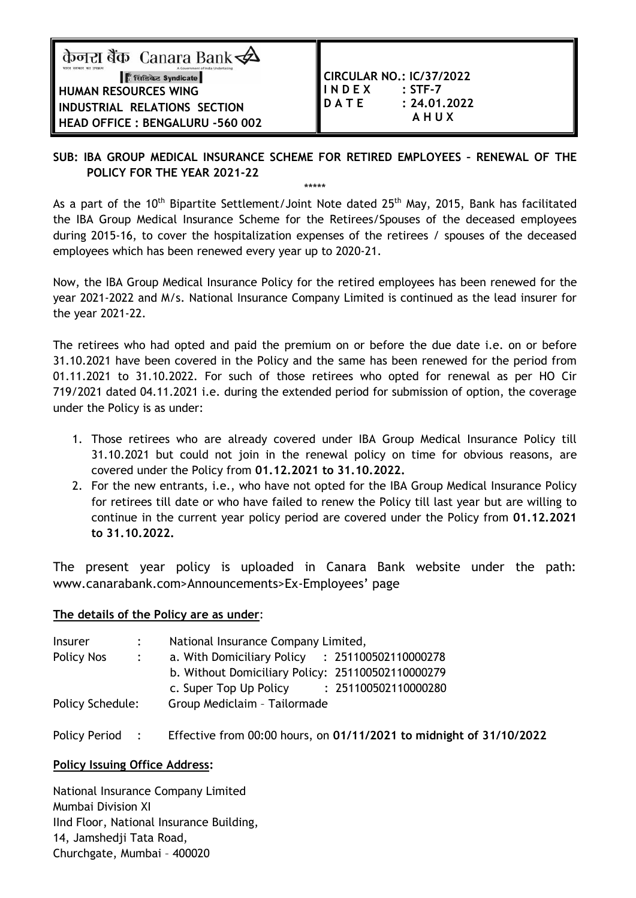केनरा बैंक Canara Bank $\overrightarrow{A}$ सिडिकेट Syndicate **HUMAN RESOURCES WING INDUSTRIAL RELATIONS SECTION HEAD OFFICE : BENGALURU -560 002** 

**CIRCULAR NO.: IC/37/2022 I N D E X : STF-7 D A T E : 24.01.2022 A H U X**

# **SUB: IBA GROUP MEDICAL INSURANCE SCHEME FOR RETIRED EMPLOYEES – RENEWAL OF THE POLICY FOR THE YEAR 2021-22**

\*\*\*\*\*

As a part of the 10<sup>th</sup> Bipartite Settlement/Joint Note dated 25<sup>th</sup> May, 2015, Bank has facilitated the IBA Group Medical Insurance Scheme for the Retirees/Spouses of the deceased employees during 2015-16, to cover the hospitalization expenses of the retirees / spouses of the deceased employees which has been renewed every year up to 2020-21.

Now, the IBA Group Medical Insurance Policy for the retired employees has been renewed for the year 2021-2022 and M/s. National Insurance Company Limited is continued as the lead insurer for the year 2021-22.

The retirees who had opted and paid the premium on or before the due date i.e. on or before 31.10.2021 have been covered in the Policy and the same has been renewed for the period from 01.11.2021 to 31.10.2022. For such of those retirees who opted for renewal as per HO Cir 719/2021 dated 04.11.2021 i.e. during the extended period for submission of option, the coverage under the Policy is as under:

- 1. Those retirees who are already covered under IBA Group Medical Insurance Policy till 31.10.2021 but could not join in the renewal policy on time for obvious reasons, are covered under the Policy from **01.12.2021 to 31.10.2022.**
- 2. For the new entrants, i.e., who have not opted for the IBA Group Medical Insurance Policy for retirees till date or who have failed to renew the Policy till last year but are willing to continue in the current year policy period are covered under the Policy from **01.12.2021 to 31.10.2022.**

The present year policy is uploaded in Canara Bank website under the path: www.canarabank.com>Announcements>Ex-Employees' page

# **The details of the Policy are as under**:

| <b>Insurer</b>          |            | National Insurance Company Limited,               |  |  |
|-------------------------|------------|---------------------------------------------------|--|--|
| Policy Nos              | $\sim 100$ | a. With Domiciliary Policy : 251100502110000278   |  |  |
|                         |            | b. Without Domiciliary Policy: 251100502110000279 |  |  |
|                         |            | : 251100502110000280<br>c. Super Top Up Policy    |  |  |
| <b>Policy Schedule:</b> |            | Group Mediclaim - Tailormade                      |  |  |
|                         |            |                                                   |  |  |

Policy Period : Effective from 00:00 hours, on **01/11/2021 to midnight of 31/10/2022**

# **Policy Issuing Office Address:**

National Insurance Company Limited Mumbai Division XI IInd Floor, National Insurance Building, 14, Jamshedji Tata Road, Churchgate, Mumbai – 400020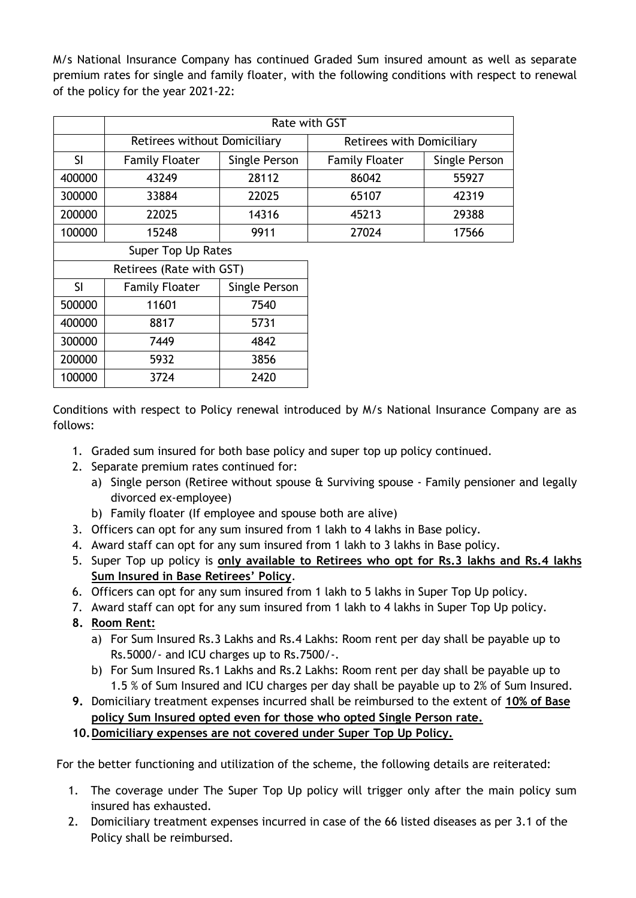M/s National Insurance Company has continued Graded Sum insured amount as well as separate premium rates for single and family floater, with the following conditions with respect to renewal of the policy for the year 2021-22:

|                          | Rate with GST                |               |                           |               |  |
|--------------------------|------------------------------|---------------|---------------------------|---------------|--|
|                          | Retirees without Domiciliary |               | Retirees with Domiciliary |               |  |
| <b>SI</b>                | <b>Family Floater</b>        | Single Person | <b>Family Floater</b>     | Single Person |  |
| 400000                   | 43249                        | 28112         | 86042                     | 55927         |  |
| 300000                   | 33884                        | 22025         | 65107                     | 42319         |  |
| 200000                   | 22025                        | 14316         | 45213                     | 29388         |  |
| 100000                   | 15248                        | 9911          | 27024                     | 17566         |  |
|                          | Super Top Up Rates           |               |                           |               |  |
| Retirees (Rate with GST) |                              |               |                           |               |  |

| 1.95112221132221112112211 |                       |               |  |  |
|---------------------------|-----------------------|---------------|--|--|
| <sup>SI</sup>             | <b>Family Floater</b> | Single Person |  |  |
| 500000                    | 11601                 | 7540          |  |  |
| 400000                    | 8817                  | 5731          |  |  |
| 300000                    | 7449                  | 4842          |  |  |
| 200000                    | 5932                  | 3856          |  |  |
| 100000                    | 3724                  | 2420          |  |  |

Conditions with respect to Policy renewal introduced by M/s National Insurance Company are as follows:

- 1. Graded sum insured for both base policy and super top up policy continued.
- 2. Separate premium rates continued for:
	- a) Single person (Retiree without spouse & Surviving spouse Family pensioner and legally divorced ex-employee)
		- b) Family floater (If employee and spouse both are alive)
- 3. Officers can opt for any sum insured from 1 lakh to 4 lakhs in Base policy.
- 4. Award staff can opt for any sum insured from 1 lakh to 3 lakhs in Base policy.
- 5. Super Top up policy is **only available to Retirees who opt for Rs.3 lakhs and Rs.4 lakhs Sum Insured in Base Retirees' Policy**.
- 6. Officers can opt for any sum insured from 1 lakh to 5 lakhs in Super Top Up policy.
- 7. Award staff can opt for any sum insured from 1 lakh to 4 lakhs in Super Top Up policy.
- **8. Room Rent:**
	- a) For Sum Insured Rs.3 Lakhs and Rs.4 Lakhs: Room rent per day shall be payable up to Rs.5000/- and ICU charges up to Rs.7500/-.
	- b) For Sum Insured Rs.1 Lakhs and Rs.2 Lakhs: Room rent per day shall be payable up to 1.5 % of Sum Insured and ICU charges per day shall be payable up to 2% of Sum Insured.
- **9.** Domiciliary treatment expenses incurred shall be reimbursed to the extent of **10% of Base policy Sum Insured opted even for those who opted Single Person rate.**
- **10.Domiciliary expenses are not covered under Super Top Up Policy.**

For the better functioning and utilization of the scheme, the following details are reiterated:

- 1. The coverage under The Super Top Up policy will trigger only after the main policy sum insured has exhausted.
- 2. Domiciliary treatment expenses incurred in case of the 66 listed diseases as per 3.1 of the Policy shall be reimbursed.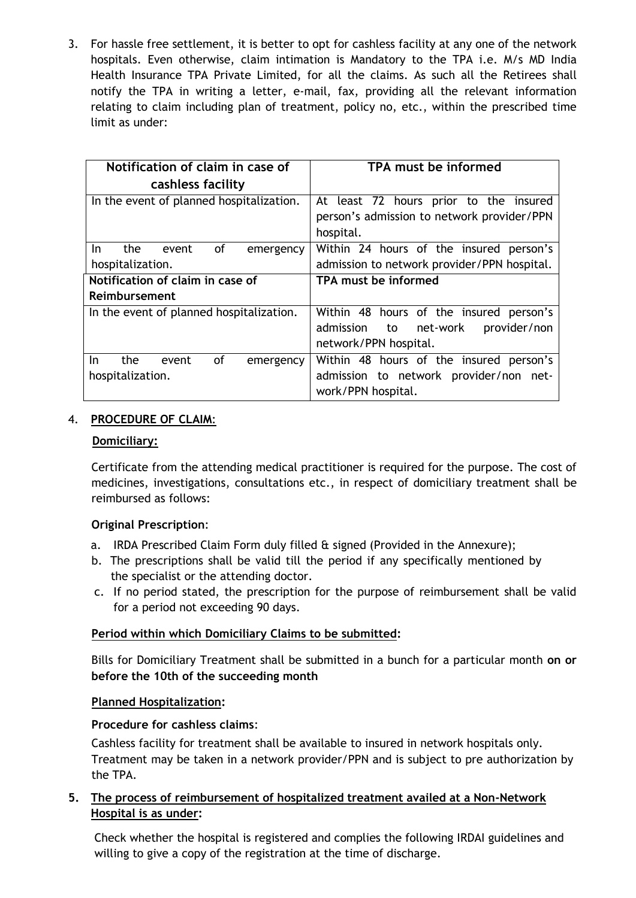3. For hassle free settlement, it is better to opt for cashless facility at any one of the network hospitals. Even otherwise, claim intimation is Mandatory to the TPA i.e. M/s MD India Health Insurance TPA Private Limited, for all the claims. As such all the Retirees shall notify the TPA in writing a letter, e-mail, fax, providing all the relevant information relating to claim including plan of treatment, policy no, etc., within the prescribed time limit as under:

| Notification of claim in case of         | TPA must be informed                        |  |  |
|------------------------------------------|---------------------------------------------|--|--|
| cashless facility                        |                                             |  |  |
| In the event of planned hospitalization. | At least 72 hours prior to the insured      |  |  |
|                                          | person's admission to network provider/PPN  |  |  |
|                                          | hospital.                                   |  |  |
| the<br>οf<br>In.<br>event<br>emergency   | Within 24 hours of the insured person's     |  |  |
| hospitalization.                         | admission to network provider/PPN hospital. |  |  |
| Notification of claim in case of         | TPA must be informed                        |  |  |
| Reimbursement                            |                                             |  |  |
| In the event of planned hospitalization. | Within 48 hours of the insured person's     |  |  |
|                                          | net-work<br>provider/non<br>admission<br>to |  |  |
|                                          | network/PPN hospital.                       |  |  |
| of<br>In.<br>the<br>event<br>emergency   | Within 48 hours of the insured person's     |  |  |
| hospitalization.                         | admission to network provider/non net-      |  |  |
|                                          | work/PPN hospital.                          |  |  |

# 4. **PROCEDURE OF CLAIM**:

#### **Domiciliary:**

Certificate from the attending medical practitioner is required for the purpose. The cost of medicines, investigations, consultations etc., in respect of domiciliary treatment shall be reimbursed as follows:

### **Original Prescription**:

- a. IRDA Prescribed Claim Form duly filled & signed (Provided in the Annexure);
- b. The prescriptions shall be valid till the period if any specifically mentioned by the specialist or the attending doctor.
- c. If no period stated, the prescription for the purpose of reimbursement shall be valid for a period not exceeding 90 days.

### **Period within which Domiciliary Claims to be submitted:**

Bills for Domiciliary Treatment shall be submitted in a bunch for a particular month **on or before the 10th of the succeeding month**

### **Planned Hospitalization:**

### **Procedure for cashless claims**:

Cashless facility for treatment shall be available to insured in network hospitals only. Treatment may be taken in a network provider/PPN and is subject to pre authorization by the TPA.

# **5. The process of reimbursement of hospitalized treatment availed at a Non-Network Hospital is as under:**

Check whether the hospital is registered and complies the following IRDAI guidelines and willing to give a copy of the registration at the time of discharge.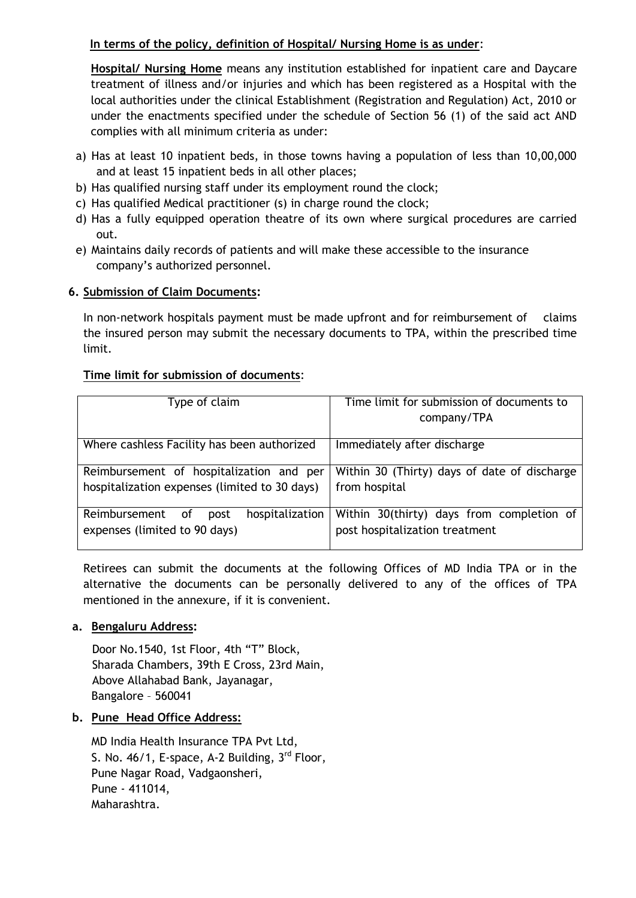### **In terms of the policy, definition of Hospital/ Nursing Home is as under**:

**Hospital/ Nursing Home** means any institution established for inpatient care and Daycare treatment of illness and/or injuries and which has been registered as a Hospital with the local authorities under the clinical Establishment (Registration and Regulation) Act, 2010 or under the enactments specified under the schedule of Section 56 (1) of the said act AND complies with all minimum criteria as under:

- a) Has at least 10 inpatient beds, in those towns having a population of less than 10,00,000 and at least 15 inpatient beds in all other places;
- b) Has qualified nursing staff under its employment round the clock;
- c) Has qualified Medical practitioner (s) in charge round the clock;
- d) Has a fully equipped operation theatre of its own where surgical procedures are carried out.
- e) Maintains daily records of patients and will make these accessible to the insurance company's authorized personnel.

#### **6. Submission of Claim Documents:**

In non-network hospitals payment must be made upfront and for reimbursement of claims the insured person may submit the necessary documents to TPA, within the prescribed time limit.

#### **Time limit for submission of documents**:

| Type of claim                                  | Time limit for submission of documents to    |  |  |
|------------------------------------------------|----------------------------------------------|--|--|
|                                                |                                              |  |  |
|                                                | company/TPA                                  |  |  |
|                                                |                                              |  |  |
| Where cashless Facility has been authorized    | Immediately after discharge                  |  |  |
|                                                |                                              |  |  |
|                                                |                                              |  |  |
| Reimbursement of hospitalization and per       | Within 30 (Thirty) days of date of discharge |  |  |
|                                                |                                              |  |  |
| hospitalization expenses (limited to 30 days)  | from hospital                                |  |  |
|                                                |                                              |  |  |
|                                                |                                              |  |  |
| hospitalization<br>Reimbursement<br>0f<br>post | Within 30(thirty) days from completion of    |  |  |
| expenses (limited to 90 days)                  |                                              |  |  |
|                                                | post hospitalization treatment               |  |  |
|                                                |                                              |  |  |

Retirees can submit the documents at the following Offices of MD India TPA or in the alternative the documents can be personally delivered to any of the offices of TPA mentioned in the annexure, if it is convenient.

### **a. Bengaluru Address:**

 Door No.1540, 1st Floor, 4th "T" Block, Sharada Chambers, 39th E Cross, 23rd Main, Above Allahabad Bank, Jayanagar, Bangalore – 560041

#### **b. Pune Head Office Address:**

MD India Health Insurance TPA Pvt Ltd, S. No. 46/1, E-space, A-2 Building, 3<sup>rd</sup> Floor, Pune Nagar Road, Vadgaonsheri, Pune - 411014, Maharashtra.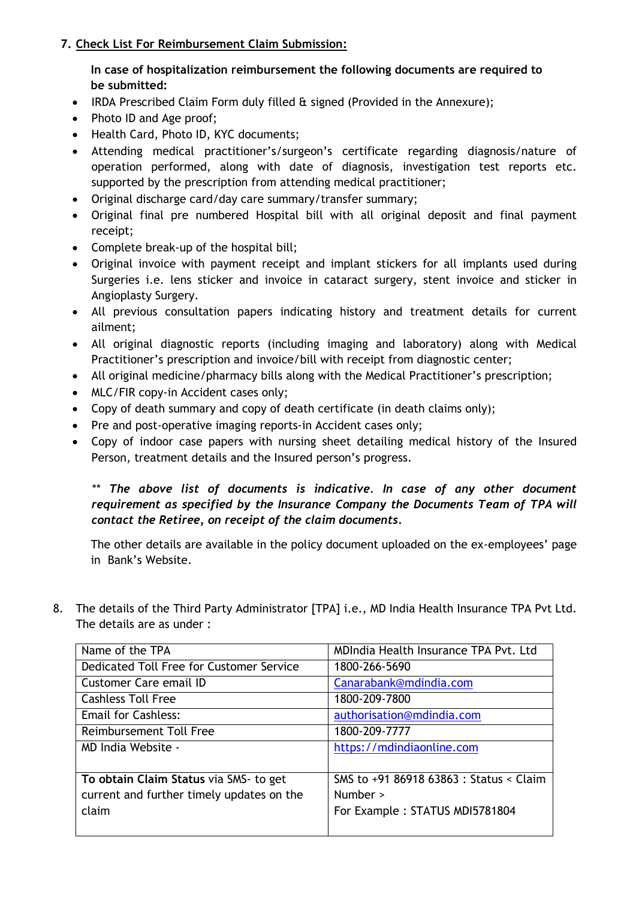# **7. Check List For Reimbursement Claim Submission:**

# **In case of hospitalization reimbursement the following documents are required to be submitted:**

- IRDA Prescribed Claim Form duly filled  $\hat{\alpha}$  signed (Provided in the Annexure);
- Photo ID and Age proof;
- Health Card, Photo ID, KYC documents;
- Attending medical practitioner's/surgeon's certificate regarding diagnosis/nature of operation performed, along with date of diagnosis, investigation test reports etc. supported by the prescription from attending medical practitioner;
- Original discharge card/day care summary/transfer summary;
- Original final pre numbered Hospital bill with all original deposit and final payment receipt;
- Complete break-up of the hospital bill;
- Original invoice with payment receipt and implant stickers for all implants used during Surgeries i.e. lens sticker and invoice in cataract surgery, stent invoice and sticker in Angioplasty Surgery.
- All previous consultation papers indicating history and treatment details for current ailment;
- All original diagnostic reports (including imaging and laboratory) along with Medical Practitioner's prescription and invoice/bill with receipt from diagnostic center;
- All original medicine/pharmacy bills along with the Medical Practitioner's prescription;
- MLC/FIR copy-in Accident cases only;
- Copy of death summary and copy of death certificate (in death claims only);
- Pre and post-operative imaging reports-in Accident cases only;
- Copy of indoor case papers with nursing sheet detailing medical history of the Insured Person, treatment details and the Insured person's progress.

*\*\* The above list of documents is indicative. In case of any other document requirement as specified by the Insurance Company the Documents Team of TPA will contact the Retiree, on receipt of the claim documents.* 

The other details are available in the policy document uploaded on the ex-employees' page in Bank's Website.

8. The details of the Third Party Administrator [TPA] i.e., MD India Health Insurance TPA Pvt Ltd. The details are as under :

| Name of the TPA                           | MDIndia Health Insurance TPA Pvt. Ltd   |
|-------------------------------------------|-----------------------------------------|
| Dedicated Toll Free for Customer Service  | 1800-266-5690                           |
| Customer Care email ID                    | Canarabank@mdindia.com                  |
| <b>Cashless Toll Free</b>                 | 1800-209-7800                           |
| <b>Email for Cashless:</b>                | authorisation@mdindia.com               |
| Reimbursement Toll Free                   | 1800-209-7777                           |
| MD India Website -                        | https://mdindiaonline.com               |
|                                           |                                         |
| To obtain Claim Status via SMS- to get    | SMS to +91 86918 63863 : Status < Claim |
| current and further timely updates on the | Number >                                |
| claim                                     | For Example: STATUS MDI5781804          |
|                                           |                                         |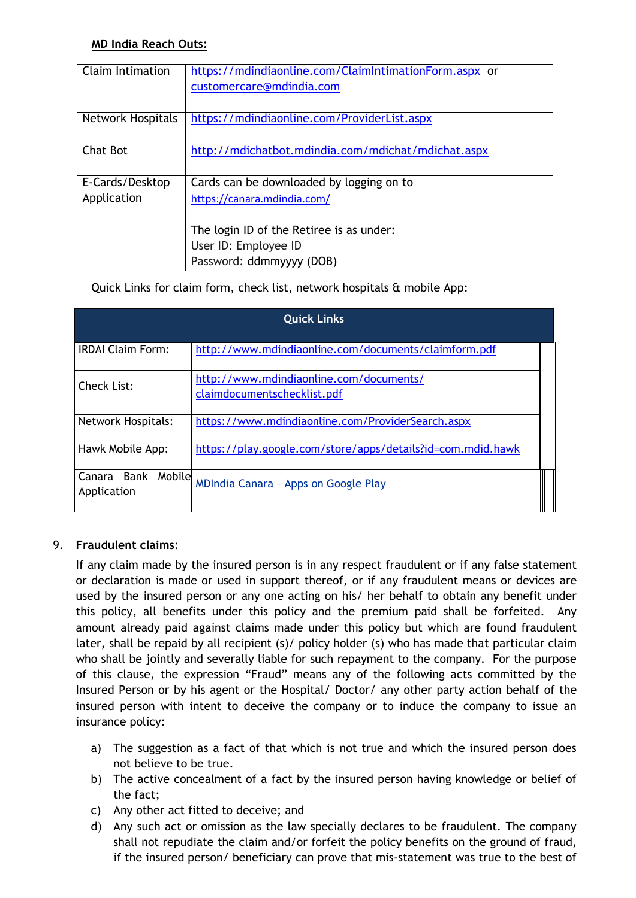# **MD India Reach Outs:**

Quick Links for claim form, check list, network hospitals & mobile App:

| <b>Quick Links</b>                   |                                                                        |  |  |
|--------------------------------------|------------------------------------------------------------------------|--|--|
| <b>IRDAI Claim Form:</b>             | http://www.mdindiaonline.com/documents/claimform.pdf                   |  |  |
| Check List:                          | http://www.mdindiaonline.com/documents/<br>claimdocumentschecklist.pdf |  |  |
| <b>Network Hospitals:</b>            | https://www.mdindiaonline.com/ProviderSearch.aspx                      |  |  |
| Hawk Mobile App:                     | https://play.google.com/store/apps/details?id=com.mdid.hawk            |  |  |
| Canara Bank<br>Mobile<br>Application | MDIndia Canara - Apps on Google Play                                   |  |  |

# 9. **Fraudulent claims**:

If any claim made by the insured person is in any respect fraudulent or if any false statement or declaration is made or used in support thereof, or if any fraudulent means or devices are used by the insured person or any one acting on his/ her behalf to obtain any benefit under this policy, all benefits under this policy and the premium paid shall be forfeited. Any amount already paid against claims made under this policy but which are found fraudulent later, shall be repaid by all recipient (s)/ policy holder (s) who has made that particular claim who shall be jointly and severally liable for such repayment to the company. For the purpose of this clause, the expression "Fraud" means any of the following acts committed by the Insured Person or by his agent or the Hospital/ Doctor/ any other party action behalf of the insured person with intent to deceive the company or to induce the company to issue an insurance policy:

- a) The suggestion as a fact of that which is not true and which the insured person does not believe to be true.
- b) The active concealment of a fact by the insured person having knowledge or belief of the fact;
- c) Any other act fitted to deceive; and
- d) Any such act or omission as the law specially declares to be fraudulent. The company shall not repudiate the claim and/or forfeit the policy benefits on the ground of fraud, if the insured person/ beneficiary can prove that mis-statement was true to the best of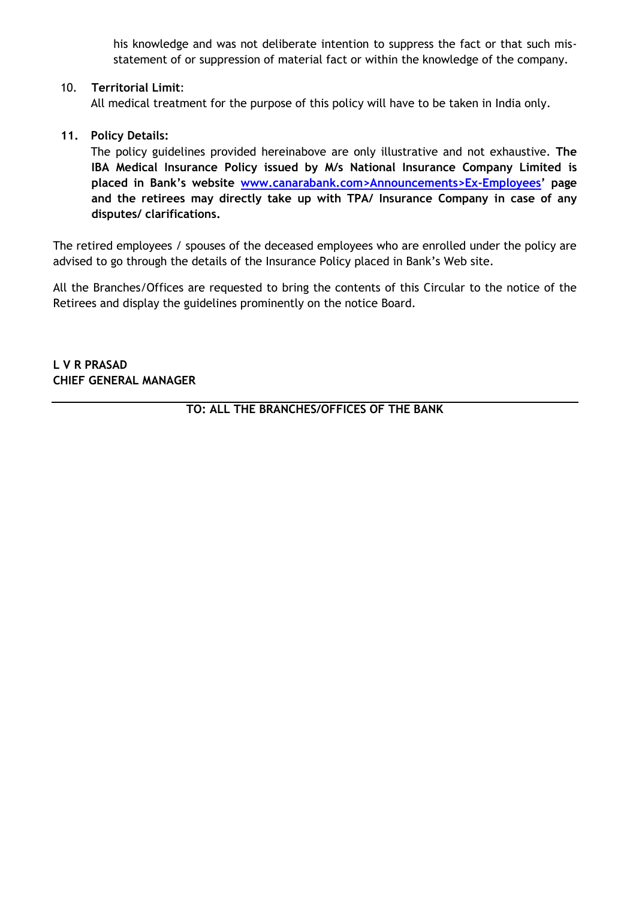his knowledge and was not deliberate intention to suppress the fact or that such misstatement of or suppression of material fact or within the knowledge of the company.

#### 10. **Territorial Limit**:

All medical treatment for the purpose of this policy will have to be taken in India only.

### **11. Policy Details:**

The policy guidelines provided hereinabove are only illustrative and not exhaustive. **The IBA Medical Insurance Policy issued by M/s National Insurance Company Limited is placed in Bank's website www.canarabank.com>Announcements>Ex-Employees' page and the retirees may directly take up with TPA/ Insurance Company in case of any disputes/ clarifications.**

The retired employees / spouses of the deceased employees who are enrolled under the policy are advised to go through the details of the Insurance Policy placed in Bank's Web site.

All the Branches/Offices are requested to bring the contents of this Circular to the notice of the Retirees and display the guidelines prominently on the notice Board.

**L V R PRASAD CHIEF GENERAL MANAGER**

**TO: ALL THE BRANCHES/OFFICES OF THE BANK**